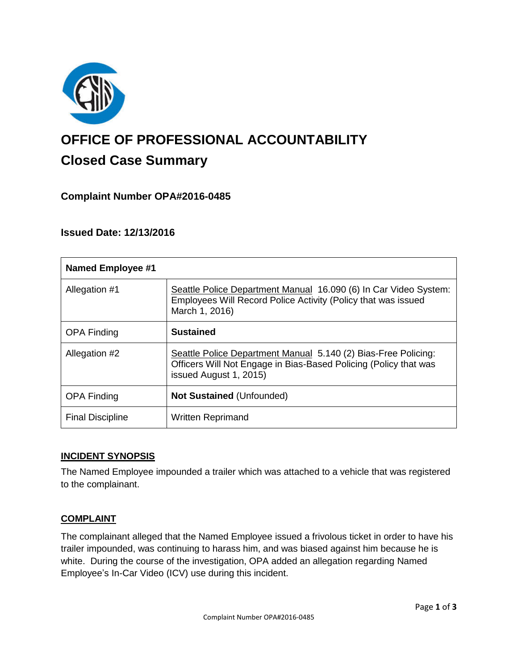

# **OFFICE OF PROFESSIONAL ACCOUNTABILITY Closed Case Summary**

## **Complaint Number OPA#2016-0485**

## **Issued Date: 12/13/2016**

| <b>Named Employee #1</b> |                                                                                                                                                              |
|--------------------------|--------------------------------------------------------------------------------------------------------------------------------------------------------------|
| Allegation #1            | Seattle Police Department Manual 16.090 (6) In Car Video System:<br>Employees Will Record Police Activity (Policy that was issued<br>March 1, 2016)          |
| <b>OPA Finding</b>       | <b>Sustained</b>                                                                                                                                             |
| Allegation #2            | Seattle Police Department Manual 5.140 (2) Bias-Free Policing:<br>Officers Will Not Engage in Bias-Based Policing (Policy that was<br>issued August 1, 2015) |
| <b>OPA Finding</b>       | <b>Not Sustained (Unfounded)</b>                                                                                                                             |
| <b>Final Discipline</b>  | <b>Written Reprimand</b>                                                                                                                                     |

### **INCIDENT SYNOPSIS**

The Named Employee impounded a trailer which was attached to a vehicle that was registered to the complainant.

### **COMPLAINT**

The complainant alleged that the Named Employee issued a frivolous ticket in order to have his trailer impounded, was continuing to harass him, and was biased against him because he is white. During the course of the investigation, OPA added an allegation regarding Named Employee's In-Car Video (ICV) use during this incident.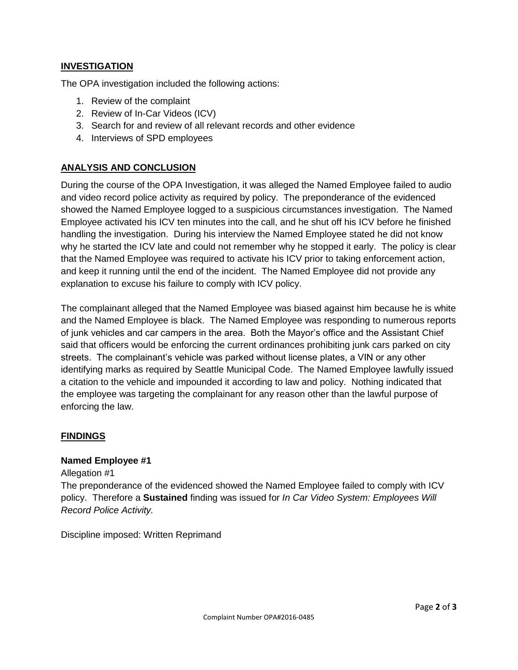## **INVESTIGATION**

The OPA investigation included the following actions:

- 1. Review of the complaint
- 2. Review of In-Car Videos (ICV)
- 3. Search for and review of all relevant records and other evidence
- 4. Interviews of SPD employees

## **ANALYSIS AND CONCLUSION**

During the course of the OPA Investigation, it was alleged the Named Employee failed to audio and video record police activity as required by policy. The preponderance of the evidenced showed the Named Employee logged to a suspicious circumstances investigation. The Named Employee activated his ICV ten minutes into the call, and he shut off his ICV before he finished handling the investigation. During his interview the Named Employee stated he did not know why he started the ICV late and could not remember why he stopped it early. The policy is clear that the Named Employee was required to activate his ICV prior to taking enforcement action, and keep it running until the end of the incident. The Named Employee did not provide any explanation to excuse his failure to comply with ICV policy.

The complainant alleged that the Named Employee was biased against him because he is white and the Named Employee is black. The Named Employee was responding to numerous reports of junk vehicles and car campers in the area. Both the Mayor's office and the Assistant Chief said that officers would be enforcing the current ordinances prohibiting junk cars parked on city streets. The complainant's vehicle was parked without license plates, a VIN or any other identifying marks as required by Seattle Municipal Code. The Named Employee lawfully issued a citation to the vehicle and impounded it according to law and policy. Nothing indicated that the employee was targeting the complainant for any reason other than the lawful purpose of enforcing the law.

### **FINDINGS**

### **Named Employee #1**

#### Allegation #1

The preponderance of the evidenced showed the Named Employee failed to comply with ICV policy. Therefore a **Sustained** finding was issued for *In Car Video System: Employees Will Record Police Activity.*

Discipline imposed: Written Reprimand